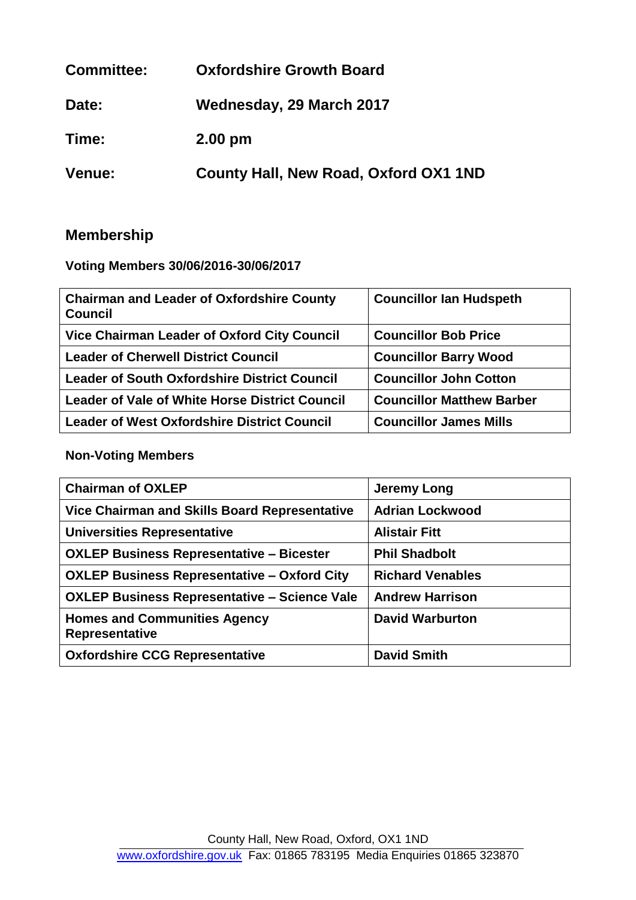| <b>Committee:</b> | <b>Oxfordshire Growth Board</b>       |
|-------------------|---------------------------------------|
| Date:             | Wednesday, 29 March 2017              |
| Time:             | $2.00$ pm                             |
| <b>Venue:</b>     | County Hall, New Road, Oxford OX1 1ND |

# **Membership**

**Voting Members 30/06/2016-30/06/2017**

| <b>Chairman and Leader of Oxfordshire County</b><br><b>Council</b> | <b>Councillor Ian Hudspeth</b>   |
|--------------------------------------------------------------------|----------------------------------|
| <b>Vice Chairman Leader of Oxford City Council</b>                 | <b>Councillor Bob Price</b>      |
| <b>Leader of Cherwell District Council</b>                         | <b>Councillor Barry Wood</b>     |
| <b>Leader of South Oxfordshire District Council</b>                | <b>Councillor John Cotton</b>    |
| Leader of Vale of White Horse District Council                     | <b>Councillor Matthew Barber</b> |
| <b>Leader of West Oxfordshire District Council</b>                 | <b>Councillor James Mills</b>    |

# **Non-Voting Members**

| <b>Chairman of OXLEP</b>                              | <b>Jeremy Long</b>      |
|-------------------------------------------------------|-------------------------|
| Vice Chairman and Skills Board Representative         | <b>Adrian Lockwood</b>  |
| <b>Universities Representative</b>                    | <b>Alistair Fitt</b>    |
| <b>OXLEP Business Representative - Bicester</b>       | <b>Phil Shadbolt</b>    |
| <b>OXLEP Business Representative - Oxford City</b>    | <b>Richard Venables</b> |
| <b>OXLEP Business Representative – Science Vale</b>   | <b>Andrew Harrison</b>  |
| <b>Homes and Communities Agency</b><br>Representative | <b>David Warburton</b>  |
| <b>Oxfordshire CCG Representative</b>                 | <b>David Smith</b>      |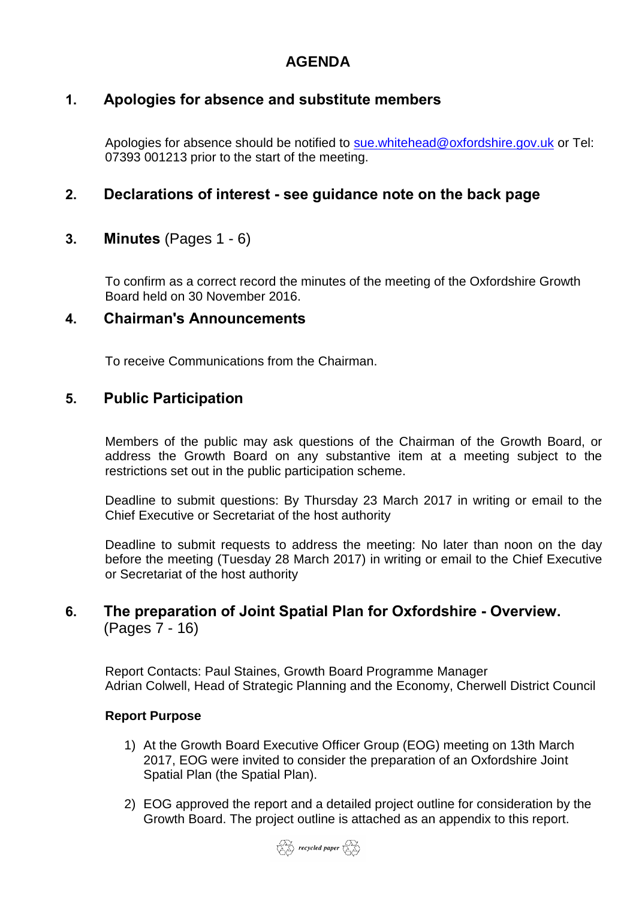# **AGENDA**

### **1. Apologies for absence and substitute members**

Apologies for absence should be notified to [sue.whitehead@oxfordshire.gov.uk](mailto:sue.whitehead@oxfordshire.gov.uk) or Tel: 07393 001213 prior to the start of the meeting.

### **2. Declarations of interest - see guidance note on the back page**

### **3. Minutes** (Pages 1 - 6)

To confirm as a correct record the minutes of the meeting of the Oxfordshire Growth Board held on 30 November 2016.

### **4. Chairman's Announcements**

To receive Communications from the Chairman.

### **5. Public Participation**

Members of the public may ask questions of the Chairman of the Growth Board, or address the Growth Board on any substantive item at a meeting subject to the restrictions set out in the public participation scheme.

Deadline to submit questions: By Thursday 23 March 2017 in writing or email to the Chief Executive or Secretariat of the host authority

Deadline to submit requests to address the meeting: No later than noon on the day before the meeting (Tuesday 28 March 2017) in writing or email to the Chief Executive or Secretariat of the host authority

### **6. The preparation of Joint Spatial Plan for Oxfordshire - Overview.** (Pages 7 - 16)

Report Contacts: Paul Staines, Growth Board Programme Manager Adrian Colwell, Head of Strategic Planning and the Economy, Cherwell District Council

#### **Report Purpose**

- 1) At the Growth Board Executive Officer Group (EOG) meeting on 13th March 2017, EOG were invited to consider the preparation of an Oxfordshire Joint Spatial Plan (the Spatial Plan).
- 2) EOG approved the report and a detailed project outline for consideration by the Growth Board. The project outline is attached as an appendix to this report.

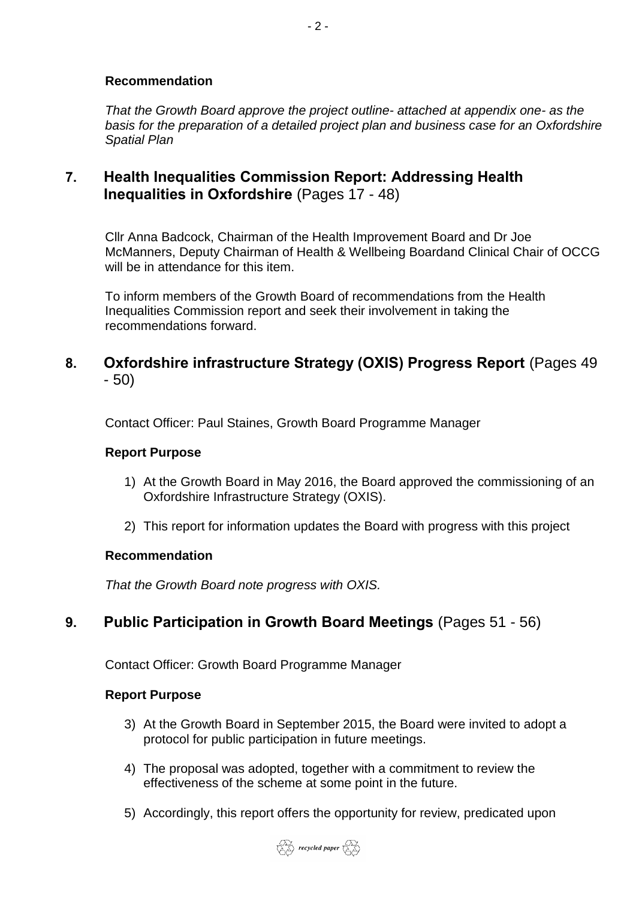#### **Recommendation**

*That the Growth Board approve the project outline- attached at appendix one- as the basis for the preparation of a detailed project plan and business case for an Oxfordshire Spatial Plan*

### **7. Health Inequalities Commission Report: Addressing Health Inequalities in Oxfordshire** (Pages 17 - 48)

Cllr Anna Badcock, Chairman of the Health Improvement Board and Dr Joe McManners, Deputy Chairman of Health & Wellbeing Boardand Clinical Chair of OCCG will be in attendance for this item.

To inform members of the Growth Board of recommendations from the Health Inequalities Commission report and seek their involvement in taking the recommendations forward.

### **8. Oxfordshire infrastructure Strategy (OXIS) Progress Report** (Pages 49 - 50)

Contact Officer: Paul Staines, Growth Board Programme Manager

#### **Report Purpose**

- 1) At the Growth Board in May 2016, the Board approved the commissioning of an Oxfordshire Infrastructure Strategy (OXIS).
- 2) This report for information updates the Board with progress with this project

#### **Recommendation**

*That the Growth Board note progress with OXIS.*

# **9. Public Participation in Growth Board Meetings** (Pages 51 - 56)

Contact Officer: Growth Board Programme Manager

#### **Report Purpose**

- 3) At the Growth Board in September 2015, the Board were invited to adopt a protocol for public participation in future meetings.
- 4) The proposal was adopted, together with a commitment to review the effectiveness of the scheme at some point in the future.
- 5) Accordingly, this report offers the opportunity for review, predicated upon

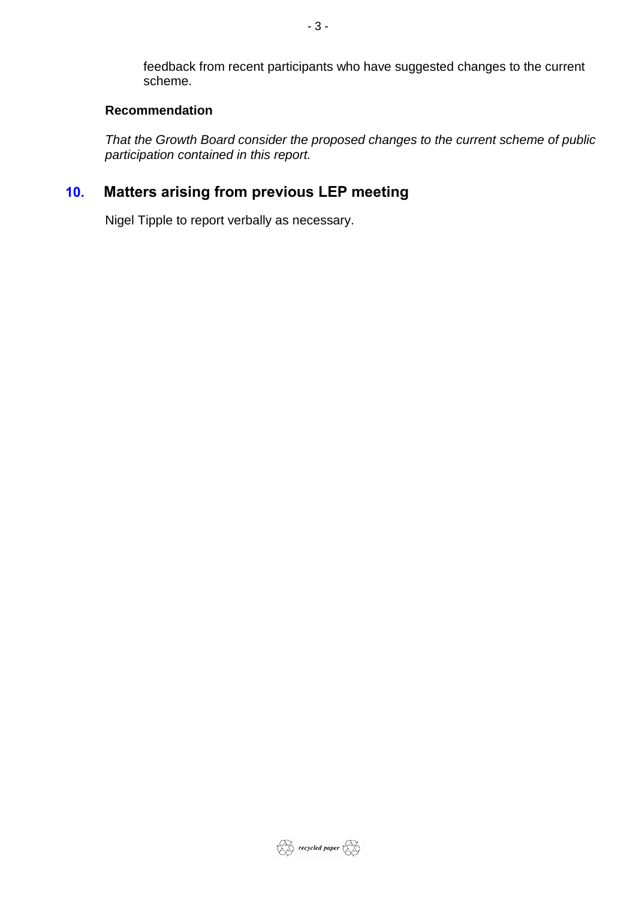feedback from recent participants who have suggested changes to the current scheme.

#### **Recommendation**

*That the Growth Board consider the proposed changes to the current scheme of public participation contained in this report.*

# **10. Matters arising from previous LEP meeting**

Nigel Tipple to report verbally as necessary.